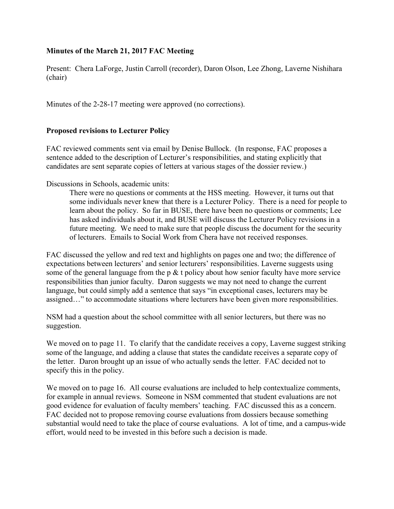# **Minutes of the March 21, 2017 FAC Meeting**

Present: Chera LaForge, Justin Carroll (recorder), Daron Olson, Lee Zhong, Laverne Nishihara (chair)

Minutes of the 2-28-17 meeting were approved (no corrections).

## **Proposed revisions to Lecturer Policy**

FAC reviewed comments sent via email by Denise Bullock. (In response, FAC proposes a sentence added to the description of Lecturer's responsibilities, and stating explicitly that candidates are sent separate copies of letters at various stages of the dossier review.)

Discussions in Schools, academic units:

There were no questions or comments at the HSS meeting. However, it turns out that some individuals never knew that there is a Lecturer Policy. There is a need for people to learn about the policy. So far in BUSE, there have been no questions or comments; Lee has asked individuals about it, and BUSE will discuss the Lecturer Policy revisions in a future meeting. We need to make sure that people discuss the document for the security of lecturers. Emails to Social Work from Chera have not received responses.

FAC discussed the yellow and red text and highlights on pages one and two; the difference of expectations between lecturers' and senior lecturers' responsibilities. Laverne suggests using some of the general language from the p  $&$  t policy about how senior faculty have more service responsibilities than junior faculty. Daron suggests we may not need to change the current language, but could simply add a sentence that says "in exceptional cases, lecturers may be assigned…" to accommodate situations where lecturers have been given more responsibilities.

NSM had a question about the school committee with all senior lecturers, but there was no suggestion.

We moved on to page 11. To clarify that the candidate receives a copy, Laverne suggest striking some of the language, and adding a clause that states the candidate receives a separate copy of the letter. Daron brought up an issue of who actually sends the letter. FAC decided not to specify this in the policy.

We moved on to page 16. All course evaluations are included to help contextualize comments, for example in annual reviews. Someone in NSM commented that student evaluations are not good evidence for evaluation of faculty members' teaching. FAC discussed this as a concern. FAC decided not to propose removing course evaluations from dossiers because something substantial would need to take the place of course evaluations. A lot of time, and a campus-wide effort, would need to be invested in this before such a decision is made.